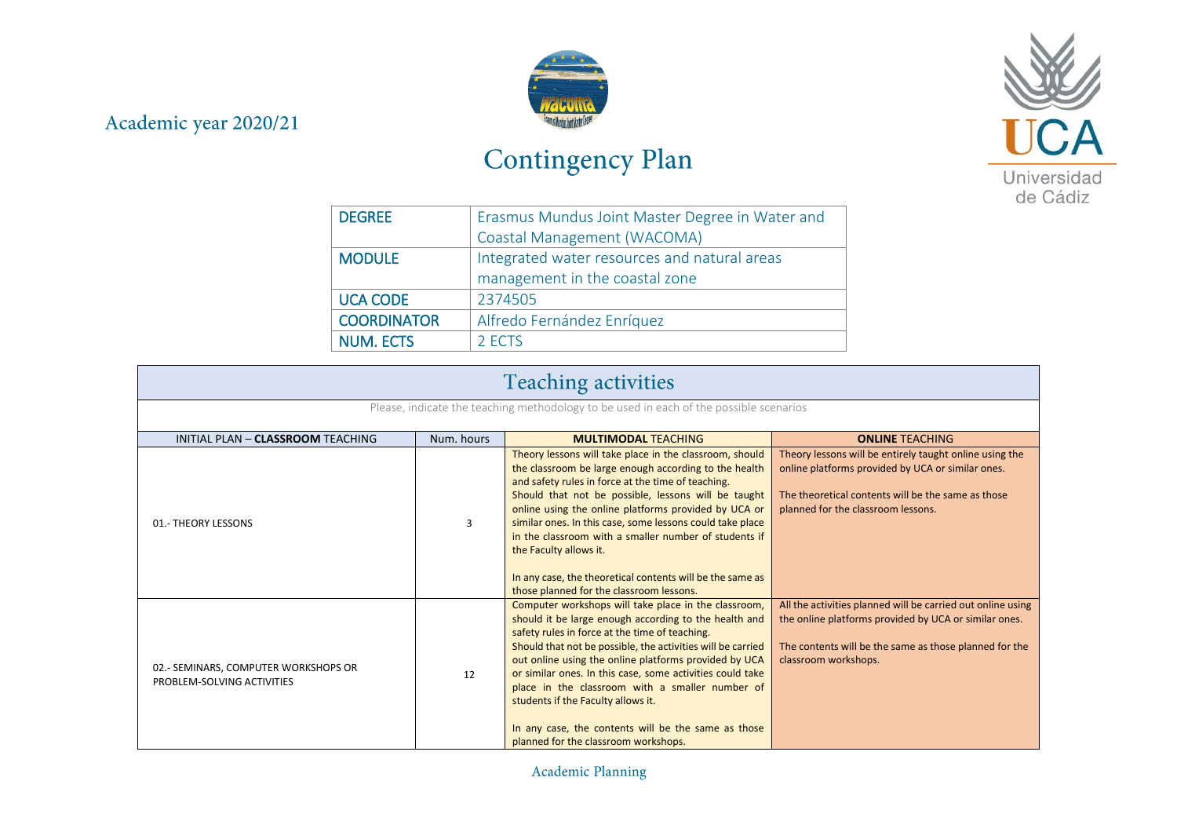## Academic year 2020/21



## Contingency Plan



| <b>DEGREE</b>      | Erasmus Mundus Joint Master Degree in Water and |
|--------------------|-------------------------------------------------|
|                    | Coastal Management (WACOMA)                     |
| <b>MODULE</b>      | Integrated water resources and natural areas    |
|                    | management in the coastal zone                  |
| <b>UCA CODE</b>    | 2374505                                         |
| <b>COORDINATOR</b> | Alfredo Fernández Enríquez                      |
| <b>NUM. ECTS</b>   | 2 FCTS                                          |

| <b>Teaching activities</b>                                                             |            |                                                                                                                                                                                                                                                                                                                                                                                                                                                                                                                                                |                                                                                                                                                                                                          |  |
|----------------------------------------------------------------------------------------|------------|------------------------------------------------------------------------------------------------------------------------------------------------------------------------------------------------------------------------------------------------------------------------------------------------------------------------------------------------------------------------------------------------------------------------------------------------------------------------------------------------------------------------------------------------|----------------------------------------------------------------------------------------------------------------------------------------------------------------------------------------------------------|--|
| Please, indicate the teaching methodology to be used in each of the possible scenarios |            |                                                                                                                                                                                                                                                                                                                                                                                                                                                                                                                                                |                                                                                                                                                                                                          |  |
| INITIAL PLAN - CLASSROOM TEACHING                                                      | Num. hours | <b>MULTIMODAL TEACHING</b>                                                                                                                                                                                                                                                                                                                                                                                                                                                                                                                     | <b>ONLINE TEACHING</b>                                                                                                                                                                                   |  |
| 01.- THEORY LESSONS                                                                    | 3          | Theory lessons will take place in the classroom, should<br>the classroom be large enough according to the health<br>and safety rules in force at the time of teaching.<br>Should that not be possible, lessons will be taught<br>online using the online platforms provided by UCA or<br>similar ones. In this case, some lessons could take place<br>in the classroom with a smaller number of students if<br>the Faculty allows it.<br>In any case, the theoretical contents will be the same as<br>those planned for the classroom lessons. | Theory lessons will be entirely taught online using the<br>online platforms provided by UCA or similar ones.<br>The theoretical contents will be the same as those<br>planned for the classroom lessons. |  |
| 02.- SEMINARS, COMPUTER WORKSHOPS OR<br>PROBLEM-SOLVING ACTIVITIES                     | 12         | Computer workshops will take place in the classroom,<br>should it be large enough according to the health and<br>safety rules in force at the time of teaching.<br>Should that not be possible, the activities will be carried<br>out online using the online platforms provided by UCA<br>or similar ones. In this case, some activities could take<br>place in the classroom with a smaller number of<br>students if the Faculty allows it.<br>In any case, the contents will be the same as those<br>planned for the classroom workshops.   | All the activities planned will be carried out online using<br>the online platforms provided by UCA or similar ones.<br>The contents will be the same as those planned for the<br>classroom workshops.   |  |

Academic Planning